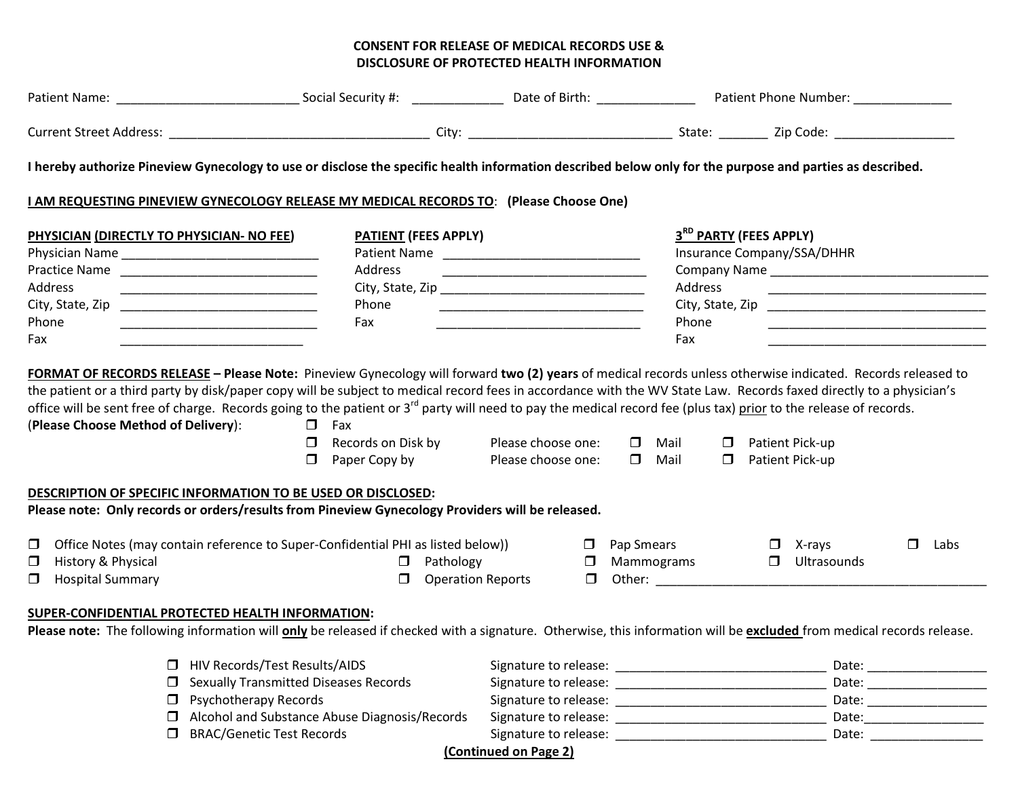## **CONSENT FOR RELEASE OF MEDICAL RECORDS USE & DISCLOSURE OF PROTECTED HEALTH INFORMATION**

| I hereby authorize Pineview Gynecology to use or disclose the specific health information described below only for the purpose and parties as described.             |                                                      |                                                                                                                      |                   |                                                          |                          |  |  |  |  |
|----------------------------------------------------------------------------------------------------------------------------------------------------------------------|------------------------------------------------------|----------------------------------------------------------------------------------------------------------------------|-------------------|----------------------------------------------------------|--------------------------|--|--|--|--|
| <b>I AM REQUESTING PINEVIEW GYNECOLOGY RELEASE MY MEDICAL RECORDS TO: (Please Choose One)</b>                                                                        |                                                      |                                                                                                                      |                   |                                                          |                          |  |  |  |  |
| PHYSICIAN (DIRECTLY TO PHYSICIAN- NO FEE)                                                                                                                            | <b>PATIENT (FEES APPLY)</b>                          |                                                                                                                      |                   | 3RD PARTY (FEES APPLY)                                   |                          |  |  |  |  |
|                                                                                                                                                                      |                                                      |                                                                                                                      |                   | Insurance Company/SSA/DHHR                               |                          |  |  |  |  |
|                                                                                                                                                                      | Address                                              | <u> 1999 - Johann John Harry, mars eta bainar eta industrial eta erromana eta erromana eta erromana eta erromana</u> |                   | Company Name Company Name                                |                          |  |  |  |  |
| Address                                                                                                                                                              |                                                      |                                                                                                                      | Address           | <u> 1989 - Johann John Stein, mars eta biztanleria (</u> |                          |  |  |  |  |
|                                                                                                                                                                      | Phone                                                | <u> 1990 - Johann John Harrison, mars eta bainar</u>                                                                 |                   | City, State, Zip                                         |                          |  |  |  |  |
| Phone                                                                                                                                                                | Fax                                                  | <u> 1999 - Johann Stein, mars eta biztanleria (</u>                                                                  | Phone             |                                                          |                          |  |  |  |  |
| Fax                                                                                                                                                                  |                                                      |                                                                                                                      | Fax               |                                                          |                          |  |  |  |  |
| DESCRIPTION OF SPECIFIC INFORMATION TO BE USED OR DISCLOSED:<br>Please note: Only records or orders/results from Pineview Gynecology Providers will be released.     | $\Box$ Paper Copy by                                 | Please choose one:                                                                                                   | $\Box$ Mail       | <b>D</b> Patient Pick-up                                 |                          |  |  |  |  |
|                                                                                                                                                                      |                                                      |                                                                                                                      |                   |                                                          |                          |  |  |  |  |
| $\Box$ Office Notes (may contain reference to Super-Confidential PHI as listed below))                                                                               |                                                      |                                                                                                                      | $\Box$ Pap Smears | $\Box$ X-rays                                            | $\Box$<br>Labs           |  |  |  |  |
| $\Box$ History & Physical                                                                                                                                            | $\Box$ Pathology                                     |                                                                                                                      | $\Box$ Mammograms | $\Box$ Ultrasounds                                       |                          |  |  |  |  |
| <b>I</b> Hospital Summary                                                                                                                                            |                                                      | $\Box$ Operation Reports                                                                                             |                   | $\Box$ Other: $\Box$                                     |                          |  |  |  |  |
| SUPER-CONFIDENTIAL PROTECTED HEALTH INFORMATION:                                                                                                                     |                                                      |                                                                                                                      |                   |                                                          |                          |  |  |  |  |
| Please note: The following information will only be released if checked with a signature. Otherwise, this information will be excluded from medical records release. |                                                      |                                                                                                                      |                   |                                                          |                          |  |  |  |  |
| □ HIV Records/Test Results/AIDS                                                                                                                                      |                                                      |                                                                                                                      |                   |                                                          | Date: _________________  |  |  |  |  |
| $\Box$ Sexually Transmitted Diseases Records                                                                                                                         |                                                      |                                                                                                                      |                   |                                                          |                          |  |  |  |  |
| $\Box$ Psychotherapy Records                                                                                                                                         |                                                      |                                                                                                                      |                   |                                                          | Date: __________________ |  |  |  |  |
|                                                                                                                                                                      | $\Box$ Alcohol and Substance Abuse Diagnosis/Records |                                                                                                                      |                   |                                                          |                          |  |  |  |  |
| <b>BRAC/Genetic Test Records</b>                                                                                                                                     |                                                      | Signature to release:                                                                                                |                   |                                                          | Date: $\frac{1}{2}$      |  |  |  |  |

**(Continued on Page 2)**